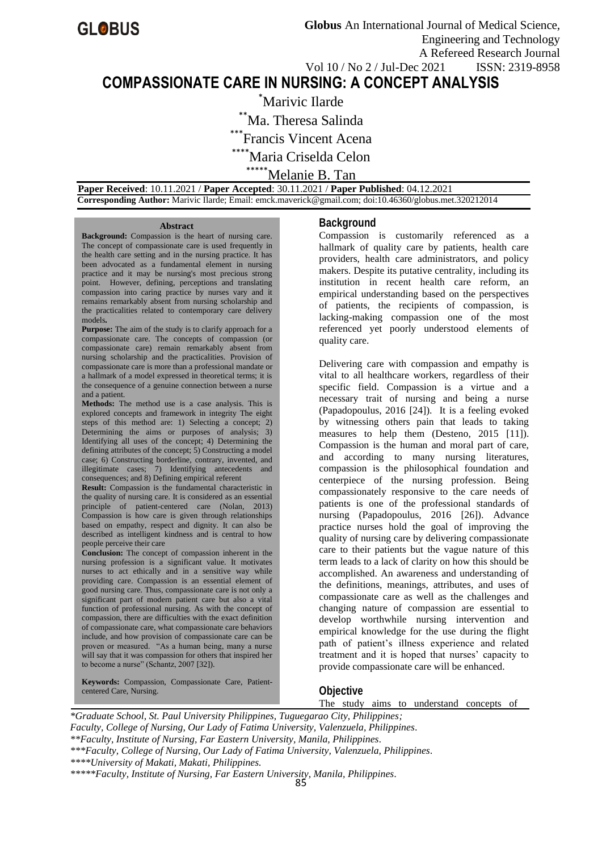# **COMPASSIONATE CARE IN NURSING: A CONCEPT ANALYSIS**

Marivic Ilarde Ma. Theresa Salinda <sup>\*</sup>Francis Vincent Acena \*Maria Criselda Celon \*\*\*Melanie B. Tan

 **Paper Received**: 10.11.2021 / **Paper Accepted**: 30.11.2021 / **Paper Published**: 04.12.2021  **Corresponding Author:** Marivic Ilarde; Email: emck.maverick@gmail.com; doi:10.46360/globus.met.320212014

#### **Abstract**

**Background:** Compassion is the heart of nursing care. The concept of compassionate care is used frequently in the health care setting and in the nursing practice. It has been advocated as a fundamental element in nursing practice and it may be nursing's most precious strong point. However, defining, perceptions and translating compassion into caring practice by nurses vary and it remains remarkably absent from nursing scholarship and the practicalities related to contemporary care delivery models**.**

**Purpose:** The aim of the study is to clarify approach for a compassionate care. The concepts of compassion (or compassionate care) remain remarkably absent from nursing scholarship and the practicalities. Provision of compassionate care is more than a professional mandate or a hallmark of a model expressed in theoretical terms; it is the consequence of a genuine connection between a nurse and a patient.

**Methods:** The method use is a case analysis. This is explored concepts and framework in integrity The eight steps of this method are: 1) Selecting a concept; 2) Determining the aims or purposes of analysis; 3) Identifying all uses of the concept; 4) Determining the defining attributes of the concept; 5) Constructing a model case; 6) Constructing borderline, contrary, invented, and illegitimate cases; 7) Identifying antecedents and consequences; and 8) Defining empirical referent

**Result:** Compassion is the fundamental characteristic in the quality of nursing care. It is considered as an essential principle of patient-centered care (Nolan, 2013) Compassion is how care is given through relationships based on empathy, respect and dignity. It can also be described as intelligent kindness and is central to how people perceive their care

**Conclusion:** The concept of compassion inherent in the nursing profession is a significant value. It motivates nurses to act ethically and in a sensitive way while providing care. Compassion is an essential element of good nursing care. Thus, compassionate care is not only a significant part of modern patient care but also a vital function of professional nursing. As with the concept of compassion, there are difficulties with the exact definition of compassionate care, what compassionate care behaviors include, and how provision of compassionate care can be proven or measured. "As a human being, many a nurse will say that it was compassion for others that inspired her to become a nurse" (Schantz, 2007 [32]).

**Keywords:** Compassion, Compassionate Care, Patientcentered Care, Nursing.

#### **Background**

Compassion is customarily referenced as a hallmark of quality care by patients, health care providers, health care administrators, and policy makers. Despite its putative centrality, including its institution in recent health care reform, an empirical understanding based on the perspectives of patients, the recipients of compassion, is lacking-making compassion one of the most referenced yet poorly understood elements of quality care.

Delivering care with compassion and empathy is vital to all healthcare workers, regardless of their specific field. Compassion is a virtue and a necessary trait of nursing and being a nurse (Papadopoulus, 2016 [24]). It is a feeling evoked by witnessing others pain that leads to taking measures to help them (Desteno, 2015 [11]). Compassion is the human and moral part of care, and according to many nursing literatures, compassion is the philosophical foundation and centerpiece of the nursing profession. Being compassionately responsive to the care needs of patients is one of the professional standards of nursing (Papadopoulus, 2016 [26]). Advance practice nurses hold the goal of improving the quality of nursing care by delivering compassionate care to their patients but the vague nature of this term leads to a lack of clarity on how this should be accomplished. An awareness and understanding of the definitions, meanings, attributes, and uses of compassionate care as well as the challenges and changing nature of compassion are essential to develop worthwhile nursing intervention and empirical knowledge for the use during the flight path of patient's illness experience and related treatment and it is hoped that nurses' capacity to provide compassionate care will be enhanced.

### **Objective**

The study aims to understand concepts of

*\*Graduate School, St. Paul University Philippines, Tuguegarao City, Philippines; Faculty, College of Nursing, Our Lady of Fatima University, Valenzuela, Philippines. \*\*Faculty, Institute of Nursing, Far Eastern University, Manila, Philippines. \*\*\*Faculty, College of Nursing, Our Lady of Fatima University, Valenzuela, Philippines. \*\*\*\*University of Makati, Makati, Philippines. \*\*\*\*\*Faculty, Institute of Nursing, Far Eastern University, Manila, Philippines.*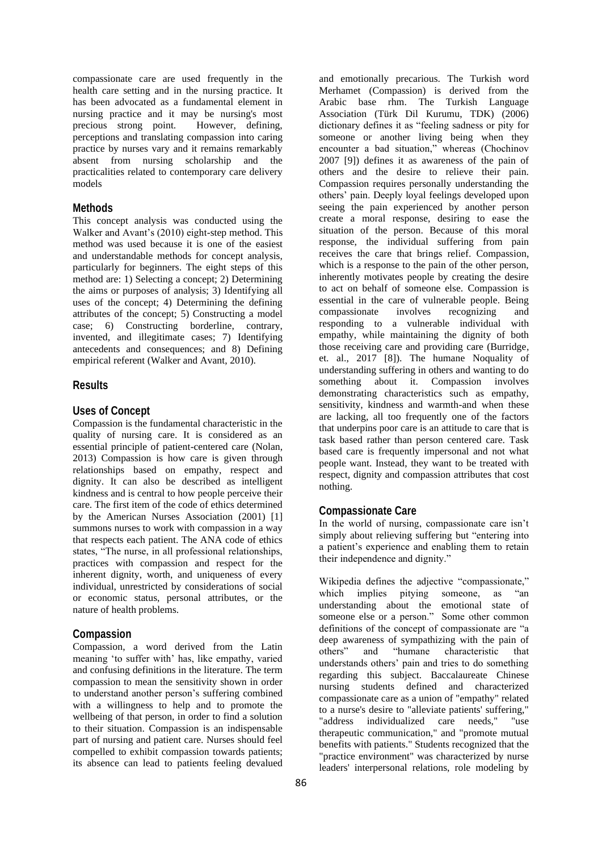compassionate care are used frequently in the health care setting and in the nursing practice. It has been advocated as a fundamental element in nursing practice and it may be nursing's most precious strong point. However, defining, perceptions and translating compassion into caring practice by nurses vary and it remains remarkably absent from nursing scholarship and the practicalities related to contemporary care delivery models

### **Methods**

This concept analysis was conducted using the Walker and Avant's (2010) eight-step method. This method was used because it is one of the easiest and understandable methods for concept analysis, particularly for beginners. The eight steps of this method are: 1) Selecting a concept; 2) Determining the aims or purposes of analysis; 3) Identifying all uses of the concept; 4) Determining the defining attributes of the concept; 5) Constructing a model case; 6) Constructing borderline, contrary, invented, and illegitimate cases; 7) Identifying antecedents and consequences; and 8) Defining empirical referent (Walker and Avant, 2010).

### **Results**

### **Uses of Concept**

Compassion is the fundamental characteristic in the quality of nursing care. It is considered as an essential principle of patient-centered care (Nolan, 2013) Compassion is how care is given through relationships based on empathy, respect and dignity. It can also be described as intelligent kindness and is central to how people perceive their care. The first item of the code of ethics determined by the American Nurses Association (2001) [1] summons nurses to work with compassion in a way that respects each patient. The ANA code of ethics states, "The nurse, in all professional relationships, practices with compassion and respect for the inherent dignity, worth, and uniqueness of every individual, unrestricted by considerations of social or economic status, personal attributes, or the nature of health problems.

#### **Compassion**

Compassion, a word derived from the Latin meaning 'to suffer with' has, like empathy, varied and confusing definitions in the literature. The term compassion to mean the sensitivity shown in order to understand another person's suffering combined with a willingness to help and to promote the wellbeing of that person, in order to find a solution to their situation. Compassion is an indispensable part of nursing and patient care. Nurses should feel compelled to exhibit compassion towards patients; its absence can lead to patients feeling devalued

and emotionally precarious. The Turkish word Merhamet (Compassion) is derived from the Arabic base rhm. The Turkish Language Association (Türk Dil Kurumu, TDK) (2006) dictionary defines it as "feeling sadness or pity for someone or another living being when they encounter a bad situation," whereas (Chochinov 2007 [9]) defines it as awareness of the pain of others and the desire to relieve their pain. Compassion requires personally understanding the others' pain. Deeply loyal feelings developed upon seeing the pain experienced by another person create a moral response, desiring to ease the situation of the person. Because of this moral response, the individual suffering from pain receives the care that brings relief. Compassion, which is a response to the pain of the other person, inherently motivates people by creating the desire to act on behalf of someone else. Compassion is essential in the care of vulnerable people. Being compassionate involves recognizing and responding to a vulnerable individual with empathy, while maintaining the dignity of both those receiving care and providing care (Burridge, et. al., 2017 [8]). The humane Noquality of understanding suffering in others and wanting to do something about it. Compassion involves demonstrating characteristics such as empathy, sensitivity, kindness and warmth-and when these are lacking, all too frequently one of the factors that underpins poor care is an attitude to care that is task based rather than person centered care. Task based care is frequently impersonal and not what people want. Instead, they want to be treated with respect, dignity and compassion attributes that cost nothing.

#### **Compassionate Care**

In the world of nursing, compassionate care isn't simply about relieving suffering but "entering into a patient's experience and enabling them to retain their independence and dignity."

Wikipedia defines the adjective "compassionate," which implies pitying someone, as "an understanding about the emotional state of someone else or a person." Some other common definitions of the concept of compassionate are "a deep awareness of sympathizing with the pain of others" and "humane characteristic that and "humane characteristic that understands others' pain and tries to do something regarding this subject. Baccalaureate Chinese nursing students defined and characterized compassionate care as a union of "empathy" related to a nurse's desire to "alleviate patients' suffering," "address individualized care needs," "use therapeutic communication," and "promote mutual benefits with patients." Students recognized that the "practice environment" was characterized by nurse leaders' interpersonal relations, role modeling by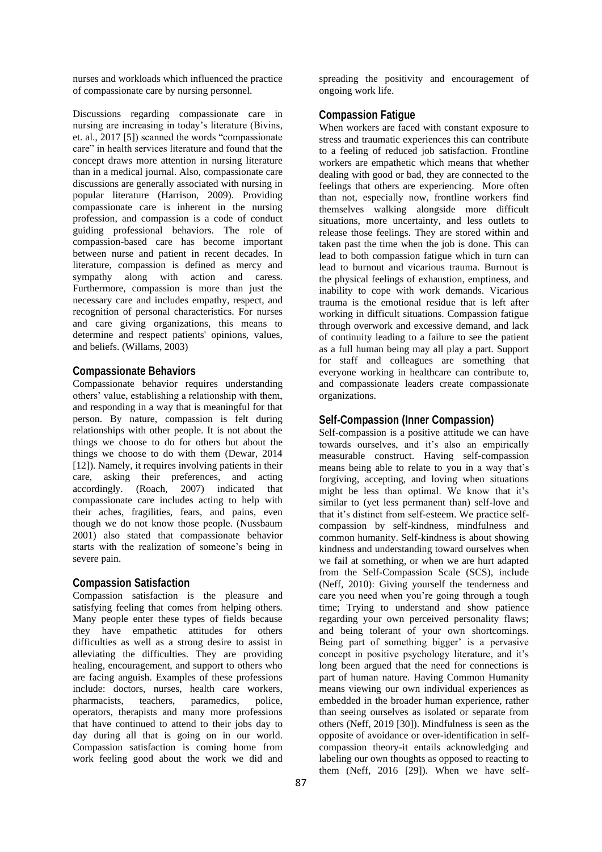nurses and workloads which influenced the practice of compassionate care by nursing personnel.

Discussions regarding compassionate care in nursing are increasing in today's literature (Bivins, et. al., 2017 [5]) scanned the words "compassionate care" in health services literature and found that the concept draws more attention in nursing literature than in a medical journal. Also, compassionate care discussions are generally associated with nursing in popular literature (Harrison, 2009). Providing compassionate care is inherent in the nursing profession, and compassion is a code of conduct guiding professional behaviors. The role of compassion-based care has become important between nurse and patient in recent decades. In literature, compassion is defined as mercy and sympathy along with action and caress. Furthermore, compassion is more than just the necessary care and includes empathy, respect, and recognition of personal characteristics. For nurses and care giving organizations, this means to determine and respect patients' opinions, values, and beliefs. (Willams, 2003)

#### **Compassionate Behaviors**

Compassionate behavior requires understanding others' value, establishing a relationship with them, and responding in a way that is meaningful for that person. By nature, compassion is felt during relationships with other people. It is not about the things we choose to do for others but about the things we choose to do with them (Dewar, 2014 [12]). Namely, it requires involving patients in their care, asking their preferences, and acting accordingly. (Roach, 2007) indicated that compassionate care includes acting to help with their aches, fragilities, fears, and pains, even though we do not know those people. (Nussbaum 2001) also stated that compassionate behavior starts with the realization of someone's being in severe pain.

#### **Compassion Satisfaction**

Compassion satisfaction is the pleasure and satisfying feeling that comes from helping others. Many people enter these types of fields because they have empathetic attitudes for others difficulties as well as a strong desire to assist in alleviating the difficulties. They are providing healing, encouragement, and support to others who are facing anguish. Examples of these professions include: doctors, nurses, health care workers, pharmacists, teachers, paramedics, police, operators, therapists and many more professions that have continued to attend to their jobs day to day during all that is going on in our world. Compassion satisfaction is coming home from work feeling good about the work we did and

spreading the positivity and encouragement of ongoing work life.

### **Compassion Fatigue**

When workers are faced with constant exposure to stress and traumatic experiences this can contribute to a feeling of reduced job satisfaction. Frontline workers are empathetic which means that whether dealing with good or bad, they are connected to the feelings that others are experiencing. More often than not, especially now, frontline workers find themselves walking alongside more difficult situations, more uncertainty, and less outlets to release those feelings. They are stored within and taken past the time when the job is done. This can lead to both compassion fatigue which in turn can lead to burnout and vicarious trauma. Burnout is the physical feelings of exhaustion, emptiness, and inability to cope with work demands. Vicarious trauma is the emotional residue that is left after working in difficult situations. Compassion fatigue through overwork and excessive demand, and lack of continuity leading to a failure to see the patient as a full human being may all play a part. Support for staff and colleagues are something that everyone working in healthcare can contribute to, and compassionate leaders create compassionate organizations.

### **Self-Compassion (Inner Compassion)**

Self-compassion is a positive attitude we can have towards ourselves, and it's also an empirically measurable construct. Having self-compassion means being able to relate to you in a way that's forgiving, accepting, and loving when situations might be less than optimal. We know that it's similar to (yet less permanent than) self-love and that it's distinct from self-esteem. We practice selfcompassion by self-kindness, mindfulness and common humanity. Self-kindness is about showing kindness and understanding toward ourselves when we fail at something, or when we are hurt adapted from the Self-Compassion Scale (SCS), include (Neff, 2010): Giving yourself the tenderness and care you need when you're going through a tough time; Trying to understand and show patience regarding your own perceived personality flaws; and being tolerant of your own shortcomings. Being part of something bigger' is a pervasive concept in positive psychology literature, and it's long been argued that the need for connections is part of human nature. Having Common Humanity means viewing our own individual experiences as embedded in the broader human experience, rather than seeing ourselves as isolated or separate from others (Neff, 2019 [30]). Mindfulness is seen as the opposite of avoidance or over-identification in selfcompassion theory-it entails acknowledging and labeling our own thoughts as opposed to reacting to them (Neff, 2016 [29]). When we have self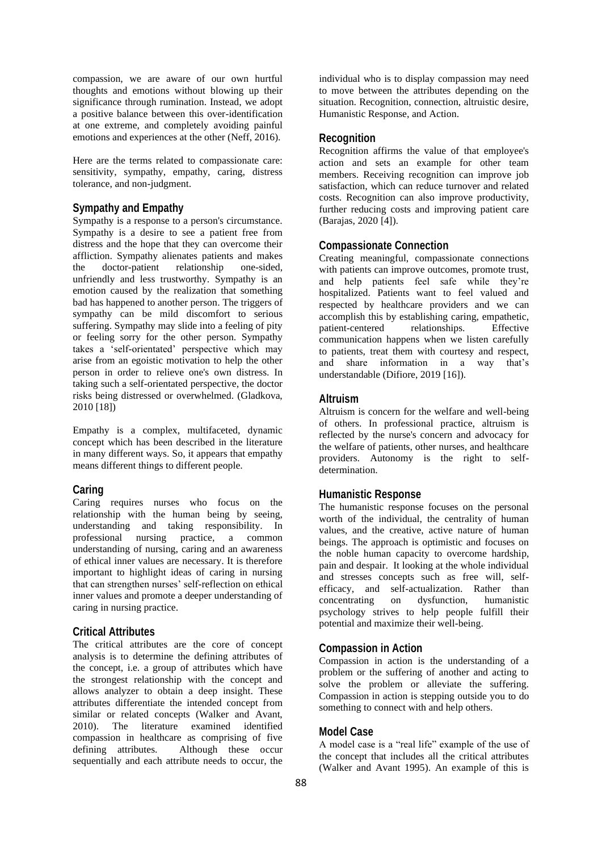compassion, we are aware of our own hurtful thoughts and emotions without blowing up their significance through rumination. Instead, we adopt a positive balance between this over-identification at one extreme, and completely avoiding painful emotions and experiences at the other (Neff, 2016).

Here are the terms related to compassionate care: sensitivity, sympathy, empathy, caring, distress tolerance, and non-judgment.

### **Sympathy and Empathy**

Sympathy is a response to a person's circumstance. Sympathy is a desire to see a patient free from distress and the hope that they can overcome their affliction. Sympathy alienates patients and makes the doctor-patient relationship one-sided, unfriendly and less trustworthy. Sympathy is an emotion caused by the realization that something bad has happened to another person. The triggers of sympathy can be mild discomfort to serious suffering. Sympathy may slide into a feeling of pity or feeling sorry for the other person. Sympathy takes a 'self-orientated' perspective which may arise from an egoistic motivation to help the other person in order to relieve one's own distress. In taking such a self-orientated perspective, the doctor risks being distressed or overwhelmed. (Gladkova, 2010 [18])

Empathy is a complex, multifaceted, dynamic concept which has been described in the literature in many different ways. So, it appears that empathy means different things to different people.

#### **Caring**

Caring requires nurses who focus on the relationship with the human being by seeing, understanding and taking responsibility. In professional nursing practice, a common understanding of nursing, caring and an awareness of ethical inner values are necessary. It is therefore important to highlight ideas of caring in nursing that can strengthen nurses' self-reflection on ethical inner values and promote a deeper understanding of caring in nursing practice.

#### **Critical Attributes**

The critical attributes are the core of concept analysis is to determine the defining attributes of the concept, i.e. a group of attributes which have the strongest relationship with the concept and allows analyzer to obtain a deep insight. These attributes differentiate the intended concept from similar or related concepts (Walker and Avant, 2010). The literature examined identified compassion in healthcare as comprising of five defining attributes. Although these occur sequentially and each attribute needs to occur, the

individual who is to display compassion may need to move between the attributes depending on the situation. Recognition, connection, altruistic desire, Humanistic Response, and Action.

### **Recognition**

Recognition affirms the value of that employee's action and sets an example for other team members. Receiving recognition can improve job satisfaction, which can reduce turnover and related costs. Recognition can also improve productivity, further reducing costs and improving patient care (Barajas, 2020 [4]).

### **Compassionate Connection**

Creating meaningful, compassionate connections with patients can improve outcomes, promote trust, and help patients feel safe while they're hospitalized. Patients want to feel valued and respected by healthcare providers and we can accomplish this by establishing caring, empathetic, patient-centered relationships. Effective communication happens when we listen carefully to patients, treat them with courtesy and respect, and share information in a way that's understandable (Difiore, 2019 [16]).

### **Altruism**

Altruism is concern for the welfare and well-being of others. In professional practice, altruism is reflected by the nurse's concern and advocacy for the welfare of patients, other nurses, and healthcare providers. Autonomy is the right to selfdetermination.

#### **Humanistic Response**

The humanistic response focuses on the personal worth of the individual, the centrality of human values, and the creative, active nature of human beings. The approach is optimistic and focuses on the noble human capacity to overcome hardship, pain and despair. It looking at the whole individual and stresses concepts such as free will, selfefficacy, and self-actualization. Rather than concentrating on dysfunction, humanistic psychology strives to help people fulfill their potential and maximize their well-being.

### **Compassion in Action**

Compassion in action is the understanding of a problem or the suffering of another and acting to solve the problem or alleviate the suffering. Compassion in action is stepping outside you to do something to connect with and help others.

#### **Model Case**

A model case is a "real life" example of the use of the concept that includes all the critical attributes (Walker and Avant 1995). An example of this is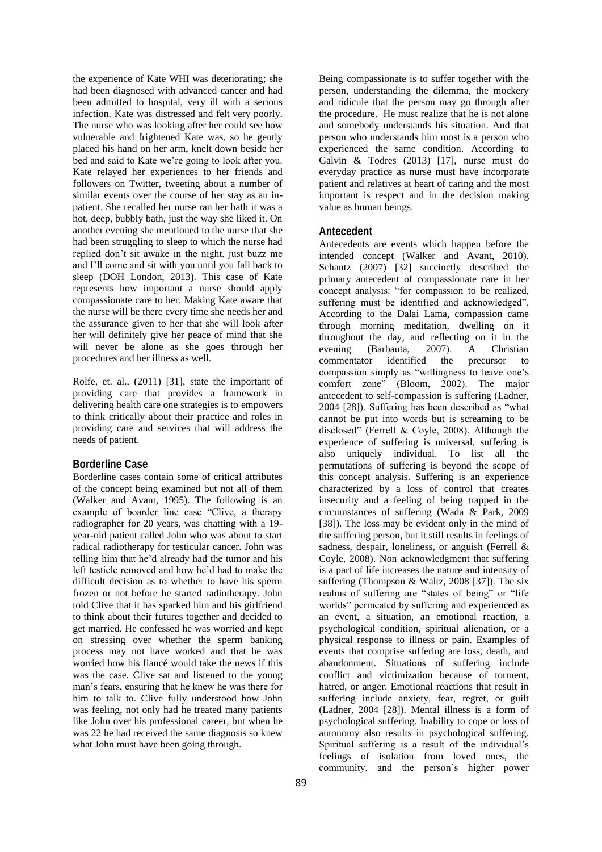the experience of Kate WHI was deteriorating; she had been diagnosed with advanced cancer and had been admitted to hospital, very ill with a serious infection. Kate was distressed and felt very poorly. The nurse who was looking after her could see how vulnerable and frightened Kate was, so he gently placed his hand on her arm, knelt down beside her bed and said to Kate we're going to look after you. Kate relayed her experiences to her friends and followers on Twitter, tweeting about a number of similar events over the course of her stay as an inpatient. She recalled her nurse ran her bath it was a hot, deep, bubbly bath, just the way she liked it. On another evening she mentioned to the nurse that she had been struggling to sleep to which the nurse had replied don't sit awake in the night, just buzz me and I'll come and sit with you until you fall back to sleep (DOH London, 2013). This case of Kate represents how important a nurse should apply compassionate care to her. Making Kate aware that the nurse will be there every time she needs her and the assurance given to her that she will look after her will definitely give her peace of mind that she will never be alone as she goes through her procedures and her illness as well.

Rolfe, et. al., (2011) [31], state the important of providing care that provides a framework in delivering health care one strategies is to empowers to think critically about their practice and roles in providing care and services that will address the needs of patient.

### **Borderline Case**

Borderline cases contain some of critical attributes of the concept being examined but not all of them (Walker and Avant, 1995). The following is an example of boarder line case "Clive, a therapy radiographer for 20 years, was chatting with a 19 year-old patient called John who was about to start radical radiotherapy for testicular cancer. John was telling him that he'd already had the tumor and his left testicle removed and how he'd had to make the difficult decision as to whether to have his sperm frozen or not before he started radiotherapy. John told Clive that it has sparked him and his girlfriend to think about their futures together and decided to get married. He confessed he was worried and kept on stressing over whether the sperm banking process may not have worked and that he was worried how his fiancé would take the news if this was the case. Clive sat and listened to the young man's fears, ensuring that he knew he was there for him to talk to. Clive fully understood how John was feeling, not only had he treated many patients like John over his professional career, but when he was 22 he had received the same diagnosis so knew what John must have been going through.

Being compassionate is to suffer together with the person, understanding the dilemma, the mockery and ridicule that the person may go through after the procedure. He must realize that he is not alone and somebody understands his situation. And that person who understands him most is a person who experienced the same condition. According to Galvin & Todres (2013) [17], nurse must do everyday practice as nurse must have incorporate patient and relatives at heart of caring and the most important is respect and in the decision making value as human beings.

# **Antecedent**

Antecedents are events which happen before the intended concept (Walker and Avant, 2010). Schantz (2007) [32] succinctly described the primary antecedent of compassionate care in her concept analysis: "for compassion to be realized, suffering must be identified and acknowledged". According to the Dalai Lama, compassion came through morning meditation, dwelling on it throughout the day, and reflecting on it in the evening (Barbauta, 2007). A Christian commentator identified the precursor to compassion simply as "willingness to leave one's comfort zone" (Bloom, 2002). The major antecedent to self-compassion is suffering (Ladner, 2004 [28]). Suffering has been described as "what cannot be put into words but is screaming to be disclosed" (Ferrell & Coyle, 2008). Although the experience of suffering is universal, suffering is also uniquely individual. To list all the permutations of suffering is beyond the scope of this concept analysis. Suffering is an experience characterized by a loss of control that creates insecurity and a feeling of being trapped in the circumstances of suffering (Wada & Park, 2009 [38]). The loss may be evident only in the mind of the suffering person, but it still results in feelings of sadness, despair, loneliness, or anguish (Ferrell & Coyle, 2008). Non acknowledgment that suffering is a part of life increases the nature and intensity of suffering (Thompson & Waltz, 2008 [37]). The six realms of suffering are "states of being" or "life worlds" permeated by suffering and experienced as an event, a situation, an emotional reaction, a psychological condition, spiritual alienation, or a physical response to illness or pain. Examples of events that comprise suffering are loss, death, and abandonment. Situations of suffering include conflict and victimization because of torment, hatred, or anger. Emotional reactions that result in suffering include anxiety, fear, regret, or guilt (Ladner, 2004 [28]). Mental illness is a form of psychological suffering. Inability to cope or loss of autonomy also results in psychological suffering. Spiritual suffering is a result of the individual's feelings of isolation from loved ones, the community, and the person's higher power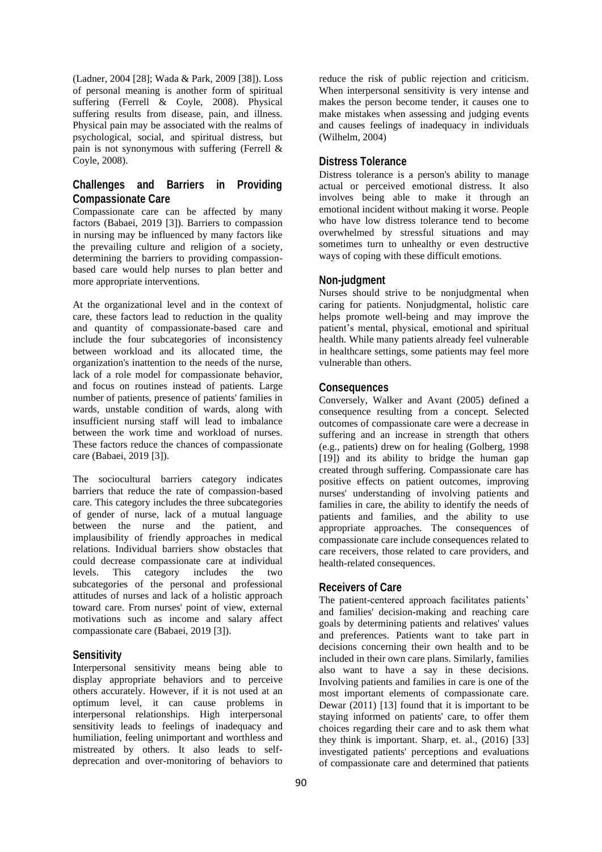(Ladner, 2004 [28]; Wada & Park, 2009 [38]). Loss of personal meaning is another form of spiritual suffering (Ferrell & Coyle, 2008). Physical suffering results from disease, pain, and illness. Physical pain may be associated with the realms of psychological, social, and spiritual distress, but pain is not synonymous with suffering (Ferrell & Coyle, 2008).

## **Challenges and Barriers in Providing Compassionate Care**

Compassionate care can be affected by many factors (Babaei, 2019 [3]). Barriers to compassion in nursing may be influenced by many factors like the prevailing culture and religion of a society, determining the barriers to providing compassionbased care would help nurses to plan better and more appropriate interventions.

At the organizational level and in the context of care, these factors lead to reduction in the quality and quantity of compassionate-based care and include the four subcategories of inconsistency between workload and its allocated time, the organization's inattention to the needs of the nurse, lack of a role model for compassionate behavior, and focus on routines instead of patients. Large number of patients, presence of patients' families in wards, unstable condition of wards, along with insufficient nursing staff will lead to imbalance between the work time and workload of nurses. These factors reduce the chances of compassionate care (Babaei, 2019 [3]).

The sociocultural barriers category indicates barriers that reduce the rate of compassion-based care. This category includes the three subcategories of gender of nurse, lack of a mutual language between the nurse and the patient, and implausibility of friendly approaches in medical relations. Individual barriers show obstacles that could decrease compassionate care at individual levels. This category includes the two subcategories of the personal and professional attitudes of nurses and lack of a holistic approach toward care. From nurses' point of view, external motivations such as income and salary affect compassionate care (Babaei, 2019 [3]).

### **Sensitivity**

Interpersonal sensitivity means being able to display appropriate behaviors and to perceive others accurately. However, if it is not used at an optimum level, it can cause problems in interpersonal relationships. High interpersonal sensitivity leads to feelings of inadequacy and humiliation, feeling unimportant and worthless and mistreated by others. It also leads to selfdeprecation and over-monitoring of behaviors to

reduce the risk of public rejection and criticism. When interpersonal sensitivity is very intense and makes the person become tender, it causes one to make mistakes when assessing and judging events and causes feelings of inadequacy in individuals (Wilhelm, 2004)

### **Distress Tolerance**

Distress tolerance is a person's ability to manage actual or perceived emotional distress. It also involves being able to make it through an emotional incident without making it worse. People who have low distress tolerance tend to become overwhelmed by stressful situations and may sometimes turn to unhealthy or even destructive ways of coping with these difficult emotions.

#### **Non-judgment**

Nurses should strive to be nonjudgmental when caring for patients. Nonjudgmental, holistic care helps promote well-being and may improve the patient's mental, physical, emotional and spiritual health. While many patients already feel vulnerable in healthcare settings, some patients may feel more vulnerable than others.

#### **Consequences**

Conversely, Walker and Avant (2005) defined a consequence resulting from a concept. Selected outcomes of compassionate care were a decrease in suffering and an increase in strength that others (e.g., patients) drew on for healing (Golberg, 1998 [19]) and its ability to bridge the human gap created through suffering. Compassionate care has positive effects on patient outcomes, improving nurses' understanding of involving patients and families in care, the ability to identify the needs of patients and families, and the ability to use appropriate approaches. The consequences of compassionate care include consequences related to care receivers, those related to care providers, and health-related consequences.

#### **Receivers of Care**

The patient-centered approach facilitates patients' and families' decision-making and reaching care goals by determining patients and relatives' values and preferences. Patients want to take part in decisions concerning their own health and to be included in their own care plans. Similarly, families also want to have a say in these decisions. Involving patients and families in care is one of the most important elements of compassionate care. Dewar  $(2011)$  [13] found that it is important to be staying informed on patients' care, to offer them choices regarding their care and to ask them what they think is important. Sharp, et. al., (2016) [33] investigated patients' perceptions and evaluations of compassionate care and determined that patients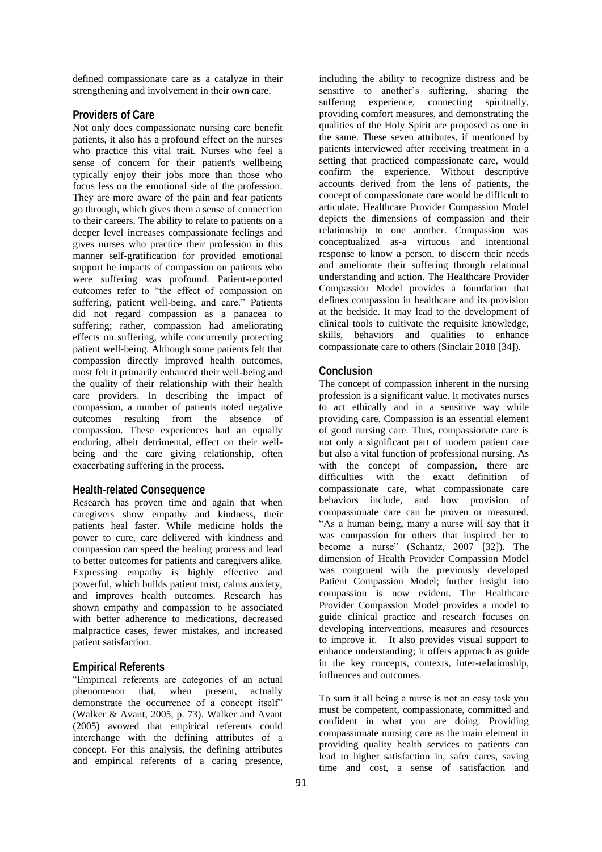defined compassionate care as a catalyze in their strengthening and involvement in their own care.

### **Providers of Care**

Not only does compassionate nursing care benefit patients, it also has a profound effect on the nurses who practice this vital trait. Nurses who feel a sense of concern for their patient's wellbeing typically enjoy their jobs more than those who focus less on the emotional side of the profession. They are more aware of the pain and fear patients go through, which gives them a sense of connection to their careers. The ability to relate to patients on a deeper level increases compassionate feelings and gives nurses who practice their profession in this manner self-gratification for provided emotional support he impacts of compassion on patients who were suffering was profound. Patient-reported outcomes refer to "the effect of compassion on suffering, patient well-being, and care." Patients did not regard compassion as a panacea to suffering; rather, compassion had ameliorating effects on suffering, while concurrently protecting patient well-being. Although some patients felt that compassion directly improved health outcomes, most felt it primarily enhanced their well-being and the quality of their relationship with their health care providers. In describing the impact of compassion, a number of patients noted negative outcomes resulting from the absence of compassion. These experiences had an equally enduring, albeit detrimental, effect on their wellbeing and the care giving relationship, often exacerbating suffering in the process.

### **Health-related Consequence**

Research has proven time and again that when caregivers show empathy and kindness, their patients heal faster. While medicine holds the power to cure, care delivered with kindness and compassion can speed the healing process and lead to better outcomes for patients and caregivers alike. Expressing empathy is highly effective and powerful, which builds patient trust, calms anxiety, and improves health outcomes. Research has shown empathy and compassion to be associated with better adherence to medications, decreased malpractice cases, fewer mistakes, and increased patient satisfaction.

### **Empirical Referents**

"Empirical referents are categories of an actual phenomenon that, when present, actually demonstrate the occurrence of a concept itself" (Walker & Avant, 2005, p. 73). Walker and Avant (2005) avowed that empirical referents could interchange with the defining attributes of a concept. For this analysis, the defining attributes and empirical referents of a caring presence, including the ability to recognize distress and be sensitive to another's suffering, sharing the suffering experience, connecting spiritually, providing comfort measures, and demonstrating the qualities of the Holy Spirit are proposed as one in the same. These seven attributes, if mentioned by patients interviewed after receiving treatment in a setting that practiced compassionate care, would confirm the experience. Without descriptive accounts derived from the lens of patients, the concept of compassionate care would be difficult to articulate. Healthcare Provider Compassion Model depicts the dimensions of compassion and their relationship to one another. Compassion was conceptualized as-a virtuous and intentional response to know a person, to discern their needs and ameliorate their suffering through relational understanding and action. The Healthcare Provider Compassion Model provides a foundation that defines compassion in healthcare and its provision at the bedside. It may lead to the development of clinical tools to cultivate the requisite knowledge, skills, behaviors and qualities to enhance compassionate care to others (Sinclair 2018 [34]).

#### **Conclusion**

The concept of compassion inherent in the nursing profession is a significant value. It motivates nurses to act ethically and in a sensitive way while providing care. Compassion is an essential element of good nursing care. Thus, compassionate care is not only a significant part of modern patient care but also a vital function of professional nursing. As with the concept of compassion, there are difficulties with the exact definition of compassionate care, what compassionate care behaviors include, and how provision of compassionate care can be proven or measured. "As a human being, many a nurse will say that it was compassion for others that inspired her to become a nurse" (Schantz, 2007 [32]). The dimension of Health Provider Compassion Model was congruent with the previously developed Patient Compassion Model; further insight into compassion is now evident. The Healthcare Provider Compassion Model provides a model to guide clinical practice and research focuses on developing interventions, measures and resources to improve it. It also provides visual support to enhance understanding; it offers approach as guide in the key concepts, contexts, inter-relationship, influences and outcomes.

To sum it all being a nurse is not an easy task you must be competent, compassionate, committed and confident in what you are doing. Providing compassionate nursing care as the main element in providing quality health services to patients can lead to higher satisfaction in, safer cares, saving time and cost, a sense of satisfaction and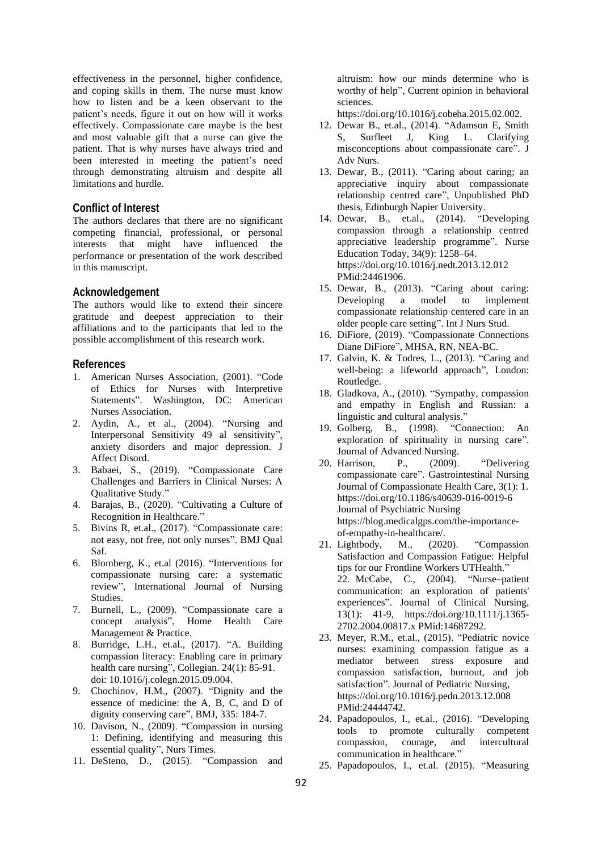effectiveness in the personnel, higher confidence, and coping skills in them. The nurse must know how to listen and be a keen observant to the patient's needs, figure it out on how will it works effectively. Compassionate care maybe is the best and most valuable gift that a nurse can give the patient. That is why nurses have always tried and been interested in meeting the patient's need through demonstrating altruism and despite all limitations and hurdle.

### **Conflict of Interest**

The authors declares that there are no significant competing financial, professional, or personal interests that might have influenced the performance or presentation of the work described in this manuscript.

#### **Acknowledgement**

The authors would like to extend their sincere gratitude and deepest appreciation to their affiliations and to the participants that led to the possible accomplishment of this research work.

#### **References**

- 1. American Nurses Association, (2001). "Code of Ethics for Nurses with Interpretive Statements". Washington, DC: American Nurses Association.
- 2. Aydin, A., et al., (2004). "Nursing and Interpersonal Sensitivity 49 al sensitivity", anxiety disorders and major depression. J Affect Disord.
- 3. Babaei, S., (2019). "Compassionate Care Challenges and Barriers in Clinical Nurses: A Qualitative Study."
- 4. Barajas, B., (2020). "Cultivating a Culture of Recognition in Healthcare."
- 5. Bivins R, et.al., (2017). "Compassionate care: not easy, not free, not only nurses". BMJ Qual Saf.
- 6. Blomberg, K., et.al (2016). "Interventions for compassionate nursing care: a systematic review", International Journal of Nursing Studies.
- 7. Burnell, L., (2009). "Compassionate care a concept analysis", Home Health Care Management & Practice.
- 8. Burridge, L.H., et.al., (2017). "A. Building compassion literacy: Enabling care in primary health care nursing", Collegian. 24(1): 85-91. doi: 10.1016/j.colegn.2015.09.004.
- 9. Chochinov, H.M., (2007). "Dignity and the essence of medicine: the A, B, C, and D of dignity conserving care", BMJ, 335: 184-7.
- 10. Davison, N., (2009). "Compassion in nursing 1: Defining, identifying and measuring this essential quality", Nurs Times.
- 11. DeSteno, D., (2015). "Compassion and

altruism: how our minds determine who is worthy of help", Current opinion in behavioral sciences.

https://doi.org/10.1016/j.cobeha.2015.02.002.

- 12. Dewar B., et.al., (2014). "Adamson E, Smith S, Surfleet J, King L. Clarifying misconceptions about compassionate care". J Adv Nurs.
- 13. Dewar, B., (2011). "Caring about caring; an appreciative inquiry about compassionate relationship centred care", Unpublished PhD thesis, Edinburgh Napier University.
- 14. Dewar, B., et.al., (2014). "Developing compassion through a relationship centred appreciative leadership programme". Nurse Education Today, 34(9): 1258–64. https://doi.org/10.1016/j.nedt.2013.12.012 PMid:24461906.
- 15. Dewar, B., (2013). "Caring about caring: Developing a model to implement compassionate relationship centered care in an older people care setting". Int J Nurs Stud.
- 16. DiFiore, (2019). "Compassionate Connections Diane DiFiore", MHSA, RN, NEA-BC.
- 17. Galvin, K. & Todres, L., (2013). "Caring and well-being: a lifeworld approach", London: Routledge.
- 18. Gladkova, A., (2010). "Sympathy, compassion and empathy in English and Russian: a linguistic and cultural analysis."
- 19. Golberg, B., (1998). "Connection: An exploration of spirituality in nursing care". Journal of Advanced Nursing.
- 20. Harrison, P., (2009). "Delivering compassionate care". Gastrointestinal Nursing Journal of Compassionate Health Care, 3(1): 1. <https://doi.org/10.1186/s40639-016-0019-6> Journal of Psychiatric Nursing https://blog.medicalgps.com/the-importanceof-empathy-in-healthcare/.
- 21. Lightbody, M., (2020). "Compassion Satisfaction and Compassion Fatigue: Helpful tips for our Frontline Workers UTHealth." 22. McCabe, C., (2004). "Nurse–patient communication: an exploration of patients' experiences". Journal of Clinical Nursing, 13(1): 41-9, https://doi.org/10.1111/j.1365- 2702.2004.00817.x PMid:14687292.
- 23. Meyer, R.M., et.al., (2015). "Pediatric novice nurses: examining compassion fatigue as a mediator between stress exposure and compassion satisfaction, burnout, and job satisfaction". Journal of Pediatric Nursing, https://doi.org/10.1016/j.pedn.2013.12.008 PMid:24444742.
- 24. Papadopoulos, I., et.al., (2016). "Developing tools to promote culturally competent compassion, courage, and intercultural communication in healthcare."
- 25. Papadopoulos, I., et.al. (2015). "Measuring